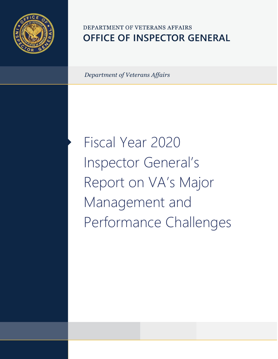

## DEPARTMENT OF VETERANS AFFAIRS **OFFICE OF INSPECTOR GENERAL**

*Department of Veterans Affairs* 

Fiscal Year 2020 Inspector General's Report on VA's Major Management and Performance Challenges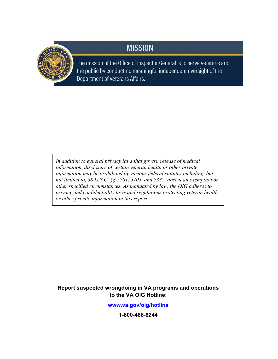## **MISSION**



The mission of the Office of Inspector General is to serve veterans and the public by conducting meaningful independent oversight of the Department of Veterans Affairs.

*In addition to general privacy laws that govern release of medical information, disclosure of certain veteran health or other private information may be prohibited by various federal statutes including, but not limited to, 38 U.S.C. §§ 5701, 5705, and 7332, absent an exemption or other specified circumstances. As mandated by law, the OIG adheres to privacy and confidentiality laws and regulations protecting veteran health or other private information in this report.*

#### **Report suspected wrongdoing in VA programs and operations to the VA OIG Hotline:**

**[www.va.gov/oig/hotline](https://www.va.gov/oig/hotline)**

**1-800-488-8244**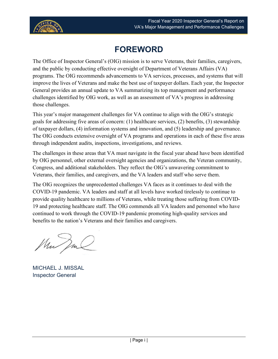

## **FOREWORD**

<span id="page-2-0"></span>The Office of Inspector General's (OIG) mission is to serve Veterans, their families, caregivers, and the public by conducting effective oversight of Department of Veterans Affairs (VA) programs. The OIG recommends advancements to VA services, processes, and systems that will improve the lives of Veterans and make the best use of taxpayer dollars. Each year, the Inspector General provides an annual update to VA summarizing its top management and performance challenges identified by OIG work, as well as an assessment of VA's progress in addressing those challenges.

This year's major management challenges for VA continue to align with the OIG's strategic goals for addressing five areas of concern: (1) healthcare services, (2) benefits, (3) stewardship of taxpayer dollars, (4) information systems and innovation, and (5) leadership and governance. The OIG conducts extensive oversight of VA programs and operations in each of these five areas through independent audits, inspections, investigations, and reviews.

The challenges in these areas that VA must navigate in the fiscal year ahead have been identified by OIG personnel, other external oversight agencies and organizations, the Veteran community, Congress, and additional stakeholders. They reflect the OIG's unwavering commitment to Veterans, their families, and caregivers, and the VA leaders and staff who serve them.

The OIG recognizes the unprecedented challenges VA faces as it continues to deal with the COVID-19 pandemic. VA leaders and staff at all levels have worked tirelessly to continue to provide quality healthcare to millions of Veterans, while treating those suffering from COVID-19 and protecting healthcare staff. The OIG commends all VA leaders and personnel who have continued to work through the COVID-19 pandemic promoting high-quality services and benefits to the nation's Veterans and their families and caregivers.

Mun Dm

MICHAEL J. MISSAL Inspector General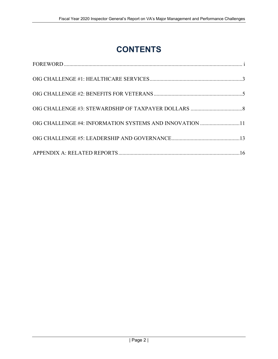# **CONTENTS**

| OIG CHALLENGE #4: INFORMATION SYSTEMS AND INNOVATION 11 |  |
|---------------------------------------------------------|--|
|                                                         |  |
|                                                         |  |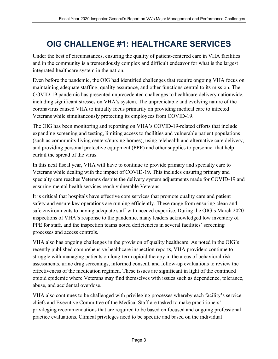## <span id="page-4-0"></span>**OIG CHALLENGE #1: HEALTHCARE SERVICES**

Under the best of circumstances, ensuring the quality of patient-centered care in VHA facilities and in the community is a tremendously complex and difficult endeavor for what is the largest integrated healthcare system in the nation.

Even before the pandemic, the OIG had identified challenges that require ongoing VHA focus on maintaining adequate staffing, quality assurance, and other functions central to its mission. The COVID-19 pandemic has presented unprecedented challenges to healthcare delivery nationwide, including significant stresses on VHA's system. The unpredictable and evolving nature of the coronavirus caused VHA to initially focus primarily on providing medical care to infected Veterans while simultaneously protecting its employees from COVID-19.

The OIG has been monitoring and reporting on VHA's COVID-19-related efforts that include expanding screening and testing, limiting access to facilities and vulnerable patient populations (such as community living centers/nursing homes), using telehealth and alternative care delivery, and providing personal protective equipment (PPE) and other supplies to personnel that help curtail the spread of the virus.

In this next fiscal year, VHA will have to continue to provide primary and specialty care to Veterans while dealing with the impact of COVID-19. This includes ensuring primary and specialty care reaches Veterans despite the delivery system adjustments made for COVID-19 and ensuring mental health services reach vulnerable Veterans.

It is critical that hospitals have effective core services that promote quality care and patient safety and ensure key operations are running efficiently. These range from ensuring clean and safe environments to having adequate staff with needed expertise. During the OIG's March 2020 inspections of VHA's response to the pandemic, many leaders acknowledged low inventory of PPE for staff, and the inspection teams noted deficiencies in several facilities' screening processes and access controls.

VHA also has ongoing challenges in the provision of quality healthcare. As noted in the OIG's recently published comprehensive healthcare inspection reports, VHA providers continue to struggle with managing patients on long-term opioid therapy in the areas of behavioral risk assessments, urine drug screenings, informed consent, and follow-up evaluations to review the effectiveness of the medication regimen. These issues are significant in light of the continued opioid epidemic where Veterans may find themselves with issues such as dependence, tolerance, abuse, and accidental overdose.

VHA also continues to be challenged with privileging processes whereby each facility's service chiefs and Executive Committee of the Medical Staff are tasked to make practitioners' privileging recommendations that are required to be based on focused and ongoing professional practice evaluations. Clinical privileges need to be specific and based on the individual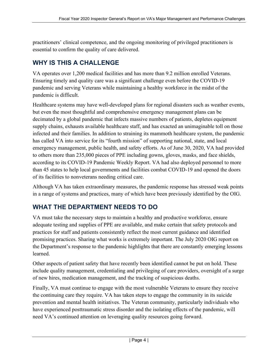practitioners' clinical competence, and the ongoing monitoring of privileged practitioners is essential to confirm the quality of care delivered.

### **WHY IS THIS A CHALLENGE**

VA operates over 1,200 medical facilities and has more than 9.2 million enrolled Veterans. Ensuring timely and quality care was a significant challenge even before the COVID-19 pandemic and serving Veterans while maintaining a healthy workforce in the midst of the pandemic is difficult.

Healthcare systems may have well-developed plans for regional disasters such as weather events, but even the most thoughtful and comprehensive emergency management plans can be decimated by a global pandemic that infects massive numbers of patients, depletes equipment supply chains, exhausts available healthcare staff, and has exacted an unimaginable toll on those infected and their families. In addition to straining its mammoth healthcare system, the pandemic has called VA into service for its "fourth mission" of supporting national, state, and local emergency management, public health, and safety efforts. As of June 30, 2020, VA had provided to others more than 235,000 pieces of PPE including gowns, gloves, masks, and face shields, according to its COVID-19 Pandemic Weekly Report. VA had also deployed personnel to more than 45 states to help local governments and facilities combat COVID-19 and opened the doors of its facilities to nonveterans needing critical care.

Although VA has taken extraordinary measures, the pandemic response has stressed weak points in a range of systems and practices, many of which have been previously identified by the OIG.

### **WHAT THE DEPARTMENT NEEDS TO DO**

VA must take the necessary steps to maintain a healthy and productive workforce, ensure adequate testing and supplies of PPE are available, and make certain that safety protocols and practices for staff and patients consistently reflect the most current guidance and identified promising practices. Sharing what works is extremely important. The July 2020 OIG report on the Department's response to the pandemic highlights that there are constantly emerging lessons learned.

Other aspects of patient safety that have recently been identified cannot be put on hold. These include quality management, credentialing and privileging of care providers, oversight of a surge of new hires, medication management, and the tracking of suspicious deaths.

Finally, VA must continue to engage with the most vulnerable Veterans to ensure they receive the continuing care they require. VA has taken steps to engage the community in its suicide prevention and mental health initiatives. The Veteran community, particularly individuals who have experienced posttraumatic stress disorder and the isolating effects of the pandemic, will need VA's continued attention on leveraging quality resources going forward.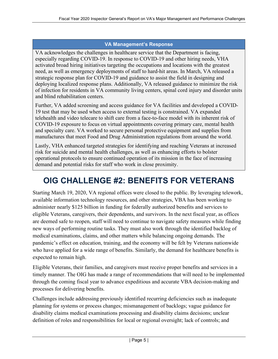#### **VA Management's Response**

VA acknowledges the challenges in healthcare service that the Department is facing, especially regarding COVID-19. In response to COVID-19 and other hiring needs, VHA activated broad hiring initiatives targeting the occupations and locations with the greatest need, as well as emergency deployments of staff to hard-hit areas. In March, VA released a strategic response plan for COVID-19 and guidance to assist the field in designing and deploying localized response plans. Additionally, VA released guidance to minimize the risk of infection for residents in VA community living centers, spinal cord injury and disorder units and blind rehabilitation centers.

Further, VA added screening and access guidance for VA facilities and developed a COVID-19 test that may be used when access to external testing is constrained. VA expanded telehealth and video telecare to shift care from a face-to-face model with its inherent risk of COVID-19 exposure to focus on virtual appointments covering primary care, mental health and specialty care. VA worked to secure personal protective equipment and supplies from manufactures that meet Food and Drug Administration regulations from around the world.

Lastly, VHA enhanced targeted strategies for identifying and reaching Veterans at increased risk for suicide and mental health challenges, as well as enhancing efforts to bolster operational protocols to ensure continued operation of its mission in the face of increasing demand and potential risks for staff who work in close proximity.

# <span id="page-6-0"></span>**OIG CHALLENGE #2: BENEFITS FOR VETERANS**

Starting March 19, 2020, VA regional offices were closed to the public. By leveraging telework, available information technology resources, and other strategies, VBA has been working to administer nearly \$125 billion in funding for federally authorized benefits and services to eligible Veterans, caregivers, their dependents, and survivors. In the next fiscal year, as offices are deemed safe to reopen, staff will need to continue to navigate safety measures while finding new ways of performing routine tasks. They must also work through the identified backlog of medical examinations, claims, and other matters while balancing ongoing demands. The pandemic's effect on education, training, and the economy will be felt by Veterans nationwide who have applied for a wide range of benefits. Similarly, the demand for healthcare benefits is expected to remain high.

Eligible Veterans, their families, and caregivers must receive proper benefits and services in a timely manner. The OIG has made a range of recommendations that will need to be implemented through the coming fiscal year to advance expeditious and accurate VBA decision-making and processes for delivering benefits.

Challenges include addressing previously identified recurring deficiencies such as inadequate planning for systems or process changes; mismanagement of backlogs; vague guidance for disability claims medical examinations processing and disability claims decisions; unclear definition of roles and responsibilities for local or regional oversight; lack of controls; and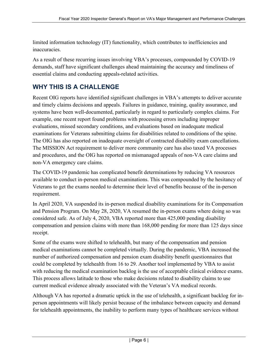limited information technology (IT) functionality, which contributes to inefficiencies and inaccuracies.

As a result of these recurring issues involving VBA's processes, compounded by COVID-19 demands, staff have significant challenges ahead maintaining the accuracy and timeliness of essential claims and conducting appeals-related activities.

### **WHY THIS IS A CHALLENGE**

Recent OIG reports have identified significant challenges in VBA's attempts to deliver accurate and timely claims decisions and appeals. Failures in guidance, training, quality assurance, and systems have been well-documented, particularly in regard to particularly complex claims. For example, one recent report found problems with processing errors including improper evaluations, missed secondary conditions, and evaluations based on inadequate medical examinations for Veterans submitting claims for disabilities related to conditions of the spine. The OIG has also reported on inadequate oversight of contracted disability exam cancellations. The MISSION Act requirement to deliver more community care has also taxed VA processes and procedures, and the OIG has reported on mismanaged appeals of non-VA care claims and non-VA emergency care claims.

The COVID-19 pandemic has complicated benefit determinations by reducing VA resources available to conduct in-person medical examinations. This was compounded by the hesitancy of Veterans to get the exams needed to determine their level of benefits because of the in-person requirement.

In April 2020, VA suspended its in-person medical disability examinations for its Compensation and Pension Program. On May 28, 2020, VA resumed the in-person exams where doing so was considered safe. As of July 4, 2020, VBA reported more than 425,000 pending disability compensation and pension claims with more than 168,000 pending for more than 125 days since receipt.

Some of the exams were shifted to telehealth, but many of the compensation and pension medical examinations cannot be completed virtually. During the pandemic, VBA increased the number of authorized compensation and pension exam disability benefit questionnaires that could be completed by telehealth from 16 to 29. Another tool implemented by VBA to assist with reducing the medical examination backlog is the use of acceptable clinical evidence exams. This process allows latitude to those who make decisions related to disability claims to use current medical evidence already associated with the Veteran's VA medical records.

Although VA has reported a dramatic uptick in the use of telehealth, a significant backlog for inperson appointments will likely persist because of the imbalance between capacity and demand for telehealth appointments, the inability to perform many types of healthcare services without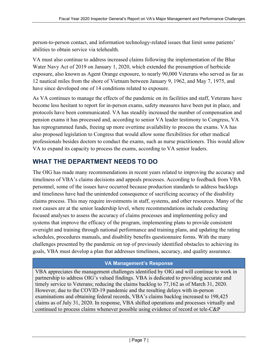person-to-person contact, and information technology-related issues that limit some patients' abilities to obtain service via telehealth.

VA must also continue to address increased claims following the implementation of the Blue Water Navy Act of 2019 on January 1, 2020, which extended the presumption of herbicide exposure, also known as Agent Orange exposure, to nearly 90,000 Veterans who served as far as 12 nautical miles from the shore of Vietnam between January 9, 1962, and May 7, 1975, and have since developed one of 14 conditions related to exposure.

As VA continues to manage the effects of the pandemic on its facilities and staff, Veterans have become less hesitant to report for in-person exams, safety measures have been put in place, and protocols have been communicated. VA has steadily increased the number of compensation and pension exams it has processed and, according to senior VA leader testimony to Congress, VA has reprogrammed funds, freeing up more overtime availability to process the exams. VA has also proposed legislation to Congress that would allow some flexibilities for other medical professionals besides doctors to conduct the exams, such as nurse practitioners. This would allow VA to expand its capacity to process the exams, according to VA senior leaders.

### **WHAT THE DEPARTMENT NEEDS TO DO**

The OIG has made many recommendations in recent years related to improving the accuracy and timeliness of VBA's claims decisions and appeals processes. According to feedback from VBA personnel, some of the issues have occurred because production standards to address backlogs and timeliness have had the unintended consequence of sacrificing accuracy of the disability claims process. This may require investments in staff, systems, and other resources. Many of the root causes are at the senior leadership level, where recommendations include conducting focused analyses to assess the accuracy of claims processes and implementing policy and systems that improve the efficacy of the program, implementing plans to provide consistent oversight and training through national performance and training plans, and updating the rating schedules, procedures manuals, and disability benefits questionnaire forms. With the many challenges presented by the pandemic on top of previously identified obstacles to achieving its goals, VBA must develop a plan that addresses timeliness, accuracy, and quality assurance.

#### **VA Management's Response**

VBA appreciates the management challenges identified by OIG and will continue to work in partnership to address OIG's valued findings. VBA is dedicated to providing accurate and timely service to Veterans; reducing the claims backlog to 77,162 as of March 31, 2020. However, due to the COVID-19 pandemic and the resulting delays with in-person examinations and obtaining federal records, VBA's claims backlog increased to 198,425 claims as of July 31, 2020. In response, VBA shifted operations and processes virtually and continued to process claims whenever possible using evidence of record or tele-C&P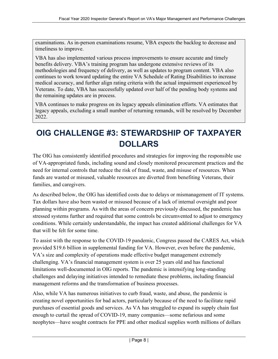examinations. As in-person examinations resume, VBA expects the backlog to decrease and timeliness to improve.

VBA has also implemented various process improvements to ensure accurate and timely benefits delivery. VBA's training program has undergone extensive reviews of its methodologies and frequency of delivery, as well as updates to program content. VBA also continues to work toward updating the entire VA Schedule of Rating Disabilities to increase medical accuracy, and further align rating criteria with the actual impairment experienced by Veterans. To date, VBA has successfully updated over half of the pending body systems and the remaining updates are in process.

VBA continues to make progress on its legacy appeals elimination efforts. VA estimates that legacy appeals, excluding a small number of returning remands, will be resolved by December 2022.

# <span id="page-9-0"></span>**OIG CHALLENGE #3: STEWARDSHIP OF TAXPAYER DOLLARS**

The OIG has consistently identified procedures and strategies for improving the responsible use of VA-appropriated funds, including sound and closely monitored procurement practices and the need for internal controls that reduce the risk of fraud, waste, and misuse of resources. When funds are wasted or misused, valuable resources are diverted from benefiting Veterans, their families, and caregivers.

As described below, the OIG has identified costs due to delays or mismanagement of IT systems. Tax dollars have also been wasted or misused because of a lack of internal oversight and poor planning within programs. As with the areas of concern previously discussed, the pandemic has stressed systems further and required that some controls be circumvented to adjust to emergency conditions. While certainly understandable, the impact has created additional challenges for VA that will be felt for some time.

To assist with the response to the COVID-19 pandemic, Congress passed the CARES Act, which provided \$19.6 billion in supplemental funding for VA. However, even before the pandemic, VA's size and complexity of operations made effective budget management extremely challenging. VA's financial management system is over 25 years old and has functional limitations well-documented in OIG reports. The pandemic is intensifying long-standing challenges and delaying initiatives intended to remediate these problems, including financial management reforms and the transformation of business processes.

Also, while VA has numerous initiatives to curb fraud, waste, and abuse, the pandemic is creating novel opportunities for bad actors, particularly because of the need to facilitate rapid purchases of essential goods and services. As VA has struggled to expand its supply chain fast enough to curtail the spread of COVID-19, many companies—some nefarious and some neophytes—have sought contracts for PPE and other medical supplies worth millions of dollars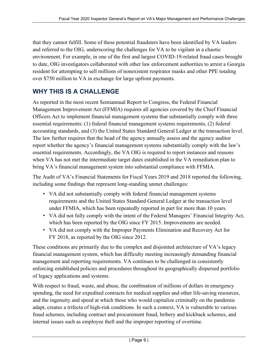that they cannot fulfill. Some of these potential fraudsters have been identified by VA leaders and referred to the OIG, underscoring the challenges for VA to be vigilant in a chaotic environment. For example, in one of the first and largest COVID-19-related fraud cases brought to date, OIG investigators collaborated with other law enforcement authorities to arrest a Georgia resident for attempting to sell millions of nonexistent respirator masks and other PPE totaling over \$750 million to VA in exchange for large upfront payments.

### **WHY THIS IS A CHALLENGE**

As reported in the most recent Semiannual Report to Congress, the Federal Financial Management Improvement Act (FFMIA) requires all agencies covered by the Chief Financial Officers Act to implement financial management systems that substantially comply with three essential requirements: (1) federal financial management systems requirements, (2) federal accounting standards, and (3) the United States Standard General Ledger at the transaction level. The law further requires that the head of the agency annually assess and the agency auditor report whether the agency's financial management systems substantially comply with the law's essential requirements. Accordingly, the VA OIG is required to report instances and reasons when VA has not met the intermediate target dates established in the VA remediation plan to bring VA's financial management system into substantial compliance with FFMIA.

The Audit of VA's Financial Statements for Fiscal Years 2019 and 2018 reported the following, including some findings that represent long-standing unmet challenges:

- VA did not substantially comply with federal financial management systems requirements and the United States Standard General Ledger at the transaction level under FFMIA, which has been repeatedly reported in part for more than 10 years.
- VA did not fully comply with the intent of the Federal Managers' Financial Integrity Act, which has been reported by the OIG since FY 2015. Improvements are needed.
- VA did not comply with the Improper Payments Elimination and Recovery Act for FY 2018, as reported by the OIG since 2012.

These conditions are primarily due to the complex and disjointed architecture of VA's legacy financial management system, which has difficulty meeting increasingly demanding financial management and reporting requirements. VA continues to be challenged in consistently enforcing established policies and procedures throughout its geographically dispersed portfolio of legacy applications and systems.

With respect to fraud, waste, and abuse, the combination of millions of dollars in emergency spending, the need for expedited contracts for medical supplies and other life-saving resources, and the ingenuity and speed at which those who would capitalize criminally on the pandemic adapt, creates a trifecta of high-risk conditions. In such a context, VA is vulnerable to various fraud schemes, including contract and procurement fraud, bribery and kickback schemes, and internal issues such as employee theft and the improper reporting of overtime.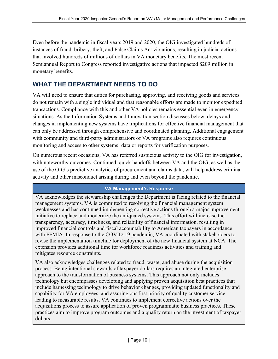Even before the pandemic in fiscal years 2019 and 2020, the OIG investigated hundreds of instances of fraud, bribery, theft, and False Claims Act violations, resulting in judicial actions that involved hundreds of millions of dollars in VA monetary benefits. The most recent Semiannual Report to Congress reported investigative actions that impacted \$209 million in monetary benefits.

### **WHAT THE DEPARTMENT NEEDS TO DO**

VA will need to ensure that duties for purchasing, approving, and receiving goods and services do not remain with a single individual and that reasonable efforts are made to monitor expedited transactions. Compliance with this and other VA policies remains essential even in emergency situations. As the Information Systems and Innovation section discusses below, delays and changes in implementing new systems have implications for effective financial management that can only be addressed through comprehensive and coordinated planning. Additional engagement with community and third-party administrators of VA programs also requires continuous monitoring and access to other systems' data or reports for verification purposes.

On numerous recent occasions, VA has referred suspicious activity to the OIG for investigation, with noteworthy outcomes. Continued, quick handoffs between VA and the OIG, as well as the use of the OIG's predictive analytics of procurement and claims data, will help address criminal activity and other misconduct arising during and even beyond the pandemic.

#### **VA Management's Response**

VA acknowledges the stewardship challenges the Department is facing related to the financial management systems. VA is committed to resolving the financial management system weaknesses and has continued implementing corrective actions through a major improvement initiative to replace and modernize the antiquated systems. This effort will increase the transparency, accuracy, timeliness, and reliability of financial information, resulting in improved financial controls and fiscal accountability to American taxpayers in accordance with FFMIA. In response to the COVID-19 pandemic, VA coordinated with stakeholders to revise the implementation timeline for deployment of the new financial system at NCA. The extension provides additional time for workforce readiness activities and training and mitigates resource constraints.

VA also acknowledges challenges related to fraud, waste, and abuse during the acquisition process. Being intentional stewards of taxpayer dollars requires an integrated enterprise approach to the transformation of business systems. This approach not only includes technology but encompasses developing and applying proven acquisition best practices that include harnessing technology to drive behavior changes, providing updated functionality and capability for VA employees, and assuring our first priority of quality customer service leading to measurable results. VA continues to implement corrective actions over the acquisitions process to assure application of proven programmatic business practices. These practices aim to improve program outcomes and a quality return on the investment of taxpayer dollars.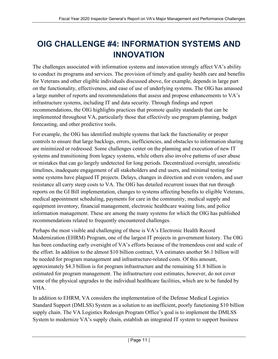# <span id="page-12-0"></span>**OIG CHALLENGE #4: INFORMATION SYSTEMS AND INNOVATION**

The challenges associated with information systems and innovation strongly affect VA's ability to conduct its programs and services. The provision of timely and quality health care and benefits for Veterans and other eligible individuals discussed above, for example, depends in large part on the functionality, effectiveness, and ease of use of underlying systems. The OIG has amassed a large number of reports and recommendations that assess and propose enhancements to VA's infrastructure systems, including IT and data security. Through findings and report recommendations, the OIG highlights practices that promote quality standards that can be implemented throughout VA, particularly those that effectively use program planning, budget forecasting, and other predictive tools.

For example, the OIG has identified multiple systems that lack the functionality or proper controls to ensure that large backlogs, errors, inefficiencies, and obstacles to information sharing are minimized or redressed. Some challenges center on the planning and execution of new IT systems and transitioning from legacy systems, while others also involve patterns of user abuse or mistakes that can go largely undetected for long periods. Decentralized oversight, unrealistic timelines, inadequate engagement of all stakeholders and end users, and minimal testing for some systems have plagued IT projects. Delays, changes in direction and even vendors, and user resistance all carry steep costs to VA. The OIG has detailed recurrent issues that run through reports on the GI Bill implementation, changes to systems affecting benefits to eligible Veterans, medical appointment scheduling, payments for care in the community, medical supply and equipment inventory, financial management, electronic healthcare waiting lists, and police information management. These are among the many systems for which the OIG has published recommendations related to frequently encountered challenges.

Perhaps the most visible and challenging of these is VA's Electronic Health Record Modernization (EHRM) Program, one of the largest IT projects in government history. The OIG has been conducting early oversight of VA's efforts because of the tremendous cost and scale of the effort. In addition to the almost \$10 billion contract, VA estimates another \$6.1 billion will be needed for program management and infrastructure-related costs. Of this amount, approximately \$4.3 billion is for program infrastructure and the remaining \$1.8 billion is estimated for program management. The infrastructure cost estimates, however, do not cover some of the physical upgrades to the individual healthcare facilities, which are to be funded by VHA.

In addition to EHRM, VA considers the implementation of the Defense Medical Logistics Standard Support (DMLSS) System as a solution to an inefficient, poorly functioning \$10 billion supply chain. The VA Logistics Redesign Program Office's goal is to implement the DMLSS System to modernize VA's supply chain, establish an integrated IT system to support business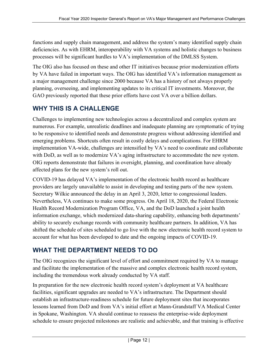functions and supply chain management, and address the system's many identified supply chain deficiencies. As with EHRM, interoperability with VA systems and holistic changes to business processes will be significant hurdles to VA's implementation of the DMLSS System.

The OIG also has focused on these and other IT initiatives because prior modernization efforts by VA have failed in important ways. The OIG has identified VA's information management as a major management challenge since 2000 because VA has a history of not always properly planning, overseeing, and implementing updates to its critical IT investments. Moreover, the GAO previously reported that these prior efforts have cost VA over a billion dollars.

### **WHY THIS IS A CHALLENGE**

Challenges to implementing new technologies across a decentralized and complex system are numerous. For example, unrealistic deadlines and inadequate planning are symptomatic of trying to be responsive to identified needs and demonstrate progress without addressing identified and emerging problems. Shortcuts often result in costly delays and complications. For EHRM implementation VA-wide, challenges are intensified by VA's need to coordinate and collaborate with DoD, as well as to modernize VA's aging infrastructure to accommodate the new system. OIG reports demonstrate that failures in oversight, planning, and coordination have already affected plans for the new system's roll out.

COVID-19 has delayed VA's implementation of the electronic health record as healthcare providers are largely unavailable to assist in developing and testing parts of the new system. Secretary Wilkie announced the delay in an April 3, 2020, letter to congressional leaders. Nevertheless, VA continues to make some progress. On April 18, 2020, the Federal Electronic Health Record Modernization Program Office, VA, and the DoD launched a joint health information exchange, which modernized data-sharing capability, enhancing both departments' ability to securely exchange records with community healthcare partners. In addition, VA has shifted the schedule of sites scheduled to go live with the new electronic health record system to account for what has been developed to date and the ongoing impacts of COVID-19.

### **WHAT THE DEPARTMENT NEEDS TO DO**

The OIG recognizes the significant level of effort and commitment required by VA to manage and facilitate the implementation of the massive and complex electronic health record system, including the tremendous work already conducted by VA staff.

In preparation for the new electronic health record system's deployment at VA healthcare facilities, significant upgrades are needed to VA's infrastructure. The Department should establish an infrastructure-readiness schedule for future deployment sites that incorporates lessons learned from DoD and from VA's initial effort at Mann-Grandstaff VA Medical Center in Spokane, Washington. VA should continue to reassess the enterprise-wide deployment schedule to ensure projected milestones are realistic and achievable, and that training is effective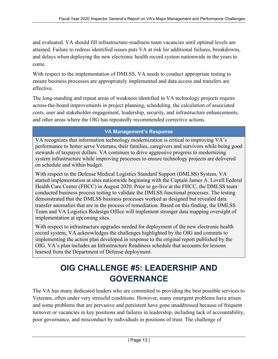and evaluated. VA should fill infrastructure-readiness team vacancies until optimal levels are attained. Failure to redress identified issues puts VA at risk for additional failures, breakdowns, and delays when deploying the new electronic health record system nationwide in the years to come.

With respect to the implementation of DMLSS, VA needs to conduct appropriate testing to ensure business processes are appropriately implemented and data access and transfers are effective.

The long-standing and repeat areas of weakness identified in VA technology projects require across-the-board improvements in project planning, scheduling, the calculation of associated costs, user and stakeholder engagement, leadership, security, and infrastructure enhancements, and other areas where the OIG has repeatedly recommended corrective actions.

#### **VA Management's Response**

VA recognizes that information technology modernization is critical to improving VA's performance to better serve Veterans, their families, caregivers and survivors while being good stewards of taxpayer dollars. VA continues to drive aggressive progress to modernizing system infrastructure while improving processes to ensure technology projects are delivered on schedule and within budget.

With respect to the Defense Medical Logistics Standard Support (DMLSS) System, VA started implementation at sites nationwide beginning with the Captain James A. Lovell Federal Health Care Center (FHCC) in August 2020. Prior to go-live at the FHCC, the DMLSS team conducted business process testing to validate the DMLSS functional processes. The testing demonstrated that the DMLSS business processes worked as designed but revealed data transfer anomalies that are in the process of remediation. Based on this finding, the DMLSS Team and VA Logistics Redesign Office will implement stronger data mapping oversight of implementation at upcoming sites.

With respect to infrastructure upgrades needed for deployment of the new electronic health record system, VA acknowledges the challenges highlighted by the OIG and commits to implementing the action plan developed in response to the original report published by the OIG. VA's plan includes an Infrastructure Readiness schedule that accounts for lessons learned from the Department of Defense deployment.

# **OIG CHALLENGE #5: LEADERSHIP AND GOVERNANCE**

<span id="page-14-0"></span>The VA has many dedicated leaders who are committed to providing the best possible services to Veterans, often under very stressful conditions. However, many emergent problems have arisen and some problems that are pervasive and persistent have gone unaddressed because of frequent turnover or vacancies in key positions and failures in leadership, including lack of accountability, poor governance, and misconduct by individuals in positions of trust. The challenge of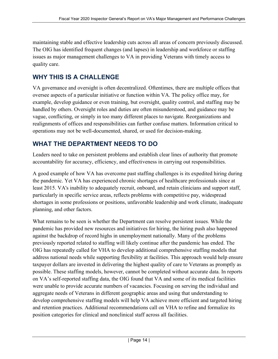maintaining stable and effective leadership cuts across all areas of concern previously discussed. The OIG has identified frequent changes (and lapses) in leadership and workforce or staffing issues as major management challenges to VA in providing Veterans with timely access to quality care.

### **WHY THIS IS A CHALLENGE**

VA governance and oversight is often decentralized. Oftentimes, there are multiple offices that oversee aspects of a particular initiative or function within VA. The policy office may, for example, develop guidance or even training, but oversight, quality control, and staffing may be handled by others. Oversight roles and duties are often misunderstood, and guidance may be vague, conflicting, or simply in too many different places to navigate. Reorganizations and realignments of offices and responsibilities can further confuse matters. Information critical to operations may not be well-documented, shared, or used for decision-making.

### **WHAT THE DEPARTMENT NEEDS TO DO**

Leaders need to take on persistent problems and establish clear lines of authority that promote accountability for accuracy, efficiency, and effectiveness in carrying out responsibilities.

A good example of how VA has overcome past staffing challenges is its expedited hiring during the pandemic. Yet VA has experienced chronic shortages of healthcare professionals since at least 2015. VA's inability to adequately recruit, onboard, and retain clinicians and support staff, particularly in specific service areas, reflects problems with competitive pay, widespread shortages in some professions or positions, unfavorable leadership and work climate, inadequate planning, and other factors.

What remains to be seen is whether the Department can resolve persistent issues. While the pandemic has provided new resources and initiatives for hiring, the hiring push also happened against the backdrop of record highs in unemployment nationally. Many of the problems previously reported related to staffing will likely continue after the pandemic has ended. The OIG has repeatedly called for VHA to develop additional comprehensive staffing models that address national needs while supporting flexibility at facilities. This approach would help ensure taxpayer dollars are invested in delivering the highest quality of care to Veterans as promptly as possible. These staffing models, however, cannot be completed without accurate data. In reports on VA's self-reported staffing data, the OIG found that VA and some of its medical facilities were unable to provide accurate numbers of vacancies. Focusing on serving the individual and aggregate needs of Veterans in different geographic areas and using that understanding to develop comprehensive staffing models will help VA achieve more efficient and targeted hiring and retention practices. Additional recommendations call on VHA to refine and formalize its position categories for clinical and nonclinical staff across all facilities.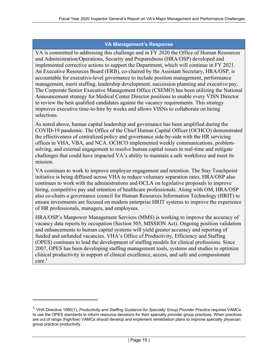#### **VA Management's Response**

VA is committed to addressing this challenge and in FY 2020 the Office of Human Resources and Administration/Operations, Security and Preparedness (HRA/OSP) developed and implemented corrective actions to support the Department, which will continue in FY 2021. An Executive Resources Board (ERB), co-chaired by the Assistant Secretary, HRA/OSP, is accountable for executive-level governance to include position management, performance management, merit staffing, leadership development, succession planning and executive pay. The Corporate Senior Executive Management Office (CSEMO) has been utilizing the National Announcement strategy for Medical Center Director positions to enable every VISN Director to review the best qualified candidates against the vacancy requirements. This strategy improves executive time-to-hire by weeks and allows VISNs to collaborate on hiring selections.

As noted above, human capital leadership and governance has been amplified during the COVID-19 pandemic. The Office of the Chief Human Capital Officer (OCHCO) demonstrated the effectiveness of centralized policy and governance side-by-side with the HR servicing offices in VHA, VBA, and NCA. OCHCO implemented weekly communications, problemsolving, and external engagement to resolve human capital issues in real-time and mitigate challenges that could have impacted VA's ability to maintain a safe workforce and meet its mission.

VA continues to work to improve employee engagement and retention. The Stay Touchpoint initiative is being diffused across VHA to reduce voluntary separation rates. HRA/OSP also continues to work with the administrations and OCLA on legislative proposals to improve hiring, competitive pay and retention of healthcare professionals. Along with OM, HRA/OSP also co-chairs a governance council for Human Resources Information Technology (HRIT) to ensure investments are focused on modern enterprise HRIT systems to improve the experience of HR professionals, managers, and employees.

HRA/OSP's Manpower Management Services (MMS) is working to improve the accuracy of vacancy data reports by occupation (Section 505, MISSION Act). Ongoing position validation and enhancements to human capital systems will yield greater accuracy and reporting of funded and unfunded vacancies. VHA's Office of Productivity, Efficiency and Staffing (OPES) continues to lead the development of staffing models for clinical professions. Since 2007, OPES has been developing staffing management tools, systems and studies to optimize clinical productivity in support of clinical excellence, access, and safe and compassionate  $care.<sup>1</sup>$  $care.<sup>1</sup>$  $care.<sup>1</sup>$ 

<span id="page-16-0"></span><sup>1</sup> VHA Directive 1065(1), *Productivity and Staffing Guidance for Specialty Group Provider Practice* requires VAMCs to use the OPES standards to inform resource decisions for their specialty provider group practices. When practices are out of range (high/low) VAMCs should develop and implement remediation plans to improve specialty physician group practice productivity.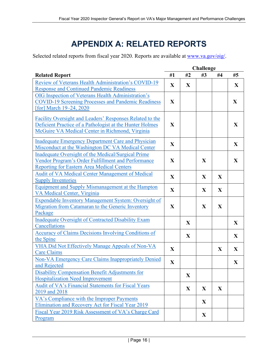## **APPENDIX A: RELATED REPORTS**

<span id="page-17-0"></span>Selected related reports from fiscal year 2020. Reports are available at [www.va.gov/oig/.](https://www.va.gov/oig/)

| <b>Related Report</b>                                       | #1           | #2          | #3 | #4           | #5           |
|-------------------------------------------------------------|--------------|-------------|----|--------------|--------------|
| Review of Veterans Health Administration's COVID-19         | $\mathbf{X}$ | X           |    |              | X            |
| <b>Response and Continued Pandemic Readiness</b>            |              |             |    |              |              |
| OIG Inspection of Veterans Health Administration's          |              |             |    |              |              |
| <b>COVID-19 Screening Processes and Pandemic Readiness</b>  | $\mathbf{X}$ |             |    |              | $\mathbf{X}$ |
| [for] March 19–24, 2020                                     |              |             |    |              |              |
|                                                             |              |             |    |              |              |
| Facility Oversight and Leaders' Responses Related to the    | $\mathbf{X}$ |             |    |              |              |
| Deficient Practice of a Pathologist at the Hunter Holmes    |              |             |    |              | $\mathbf{X}$ |
| McGuire VA Medical Center in Richmond, Virginia             |              |             |    |              |              |
| <b>Inadequate Emergency Department Care and Physician</b>   |              |             |    |              |              |
| Misconduct at the Washington DC VA Medical Center           | $\mathbf{X}$ |             |    |              | $\mathbf{X}$ |
| Inadequate Oversight of the Medical/Surgical Prime          |              |             |    |              |              |
| Vendor Program's Order Fulfillment and Performance          | $\mathbf{X}$ |             | X  |              | $\mathbf{X}$ |
| <b>Reporting for Eastern Area Medical Centers</b>           |              |             |    |              |              |
| Audit of VA Medical Center Management of Medical            |              |             |    |              |              |
| <b>Supply Inventories</b>                                   | $\mathbf{X}$ |             | X  | X            |              |
| Equipment and Supply Mismanagement at the Hampton           |              |             |    |              |              |
| VA Medical Center, Virginia                                 | $\mathbf{X}$ |             | X  | X            |              |
| Expendable Inventory Management System: Oversight of        |              |             |    |              |              |
| Migration from Catamaran to the Generic Inventory           | $\mathbf{X}$ |             | X  | X            |              |
| Package                                                     |              |             |    |              |              |
| <b>Inadequate Oversight of Contracted Disability Exam</b>   |              |             |    |              |              |
| Cancellations                                               |              | X           |    |              | X            |
| <b>Accuracy of Claims Decisions Involving Conditions of</b> |              |             |    |              |              |
| the Spine                                                   |              | X           |    |              | $\mathbf X$  |
| VHA Did Not Effectively Manage Appeals of Non-VA            | $\mathbf{X}$ |             |    |              |              |
| <b>Care Claims</b>                                          |              |             |    | $\mathbf X$  | $\mathbf X$  |
| <b>Non-VA Emergency Care Claims Inappropriately Denied</b>  | $\mathbf X$  |             |    |              |              |
| and Rejected                                                |              |             |    |              | $\mathbf X$  |
| Disability Compensation Benefit Adjustments for             |              | $\mathbf X$ |    |              |              |
| <b>Hospitalization Need Improvement</b>                     |              |             |    |              |              |
| Audit of VA's Financial Statements for Fiscal Years         |              | X           | X  | $\mathbf{X}$ |              |
| 2019 and 2018                                               |              |             |    |              |              |
| VA's Compliance with the Improper Payments                  |              |             |    |              |              |
| Elimination and Recovery Act for Fiscal Year 2019           |              |             | X  |              |              |
| Fiscal Year 2019 Risk Assessment of VA's Charge Card        |              |             | X  |              |              |
| Program                                                     |              |             |    |              |              |